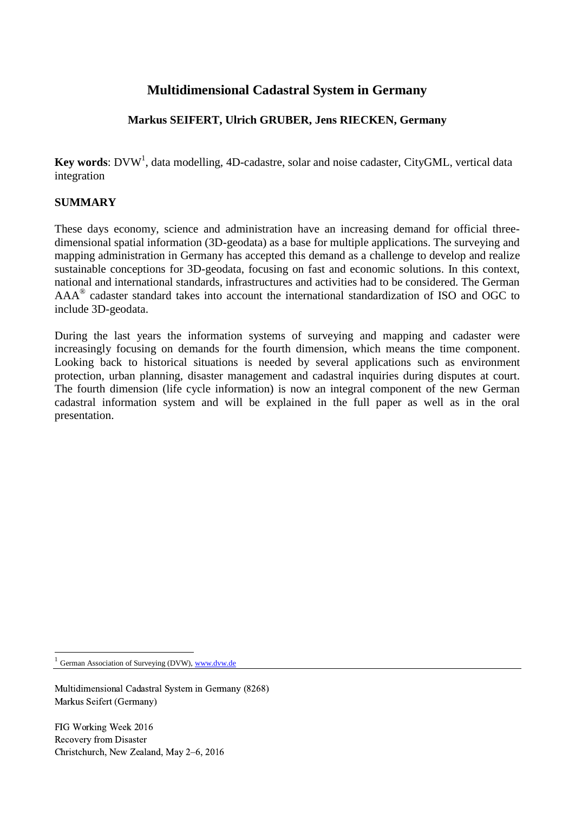# **Multidimensional Cadastral System in Germany**

## **Markus SEIFERT, Ulrich GRUBER, Jens RIECKEN, Germany**

Key words: DVW<sup>1</sup>, data modelling, 4D-cadastre, solar and noise cadaster, CityGML, vertical data integration

### **SUMMARY**

These days economy, science and administration have an increasing demand for official threedimensional spatial information (3D-geodata) as a base for multiple applications. The surveying and mapping administration in Germany has accepted this demand as a challenge to develop and realize sustainable conceptions for 3D-geodata, focusing on fast and economic solutions. In this context, national and international standards, infrastructures and activities had to be considered. The German  $AAA^{\circledR}$  cadaster standard takes into account the international standardization of ISO and OGC to include 3D-geodata.

During the last years the information systems of surveying and mapping and cadaster were increasingly focusing on demands for the fourth dimension, which means the time component. Looking back to historical situations is needed by several applications such as environment protection, urban planning, disaster management and cadastral inquiries during disputes at court. The fourth dimension (life cycle information) is now an integral component of the new German cadastral information system and will be explained in the full paper as well as in the oral presentation.

1 German Association of Surveying (DVW), [www.dvw.de](http://www.dvw.de/)

1

Multidimensional Cadastral System in Germany (8268) Markus Seifert (Germany)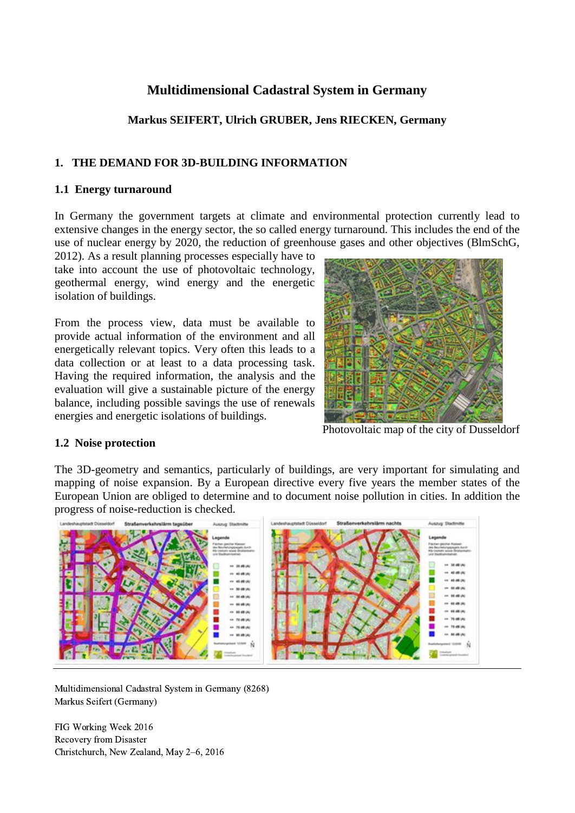# **Multidimensional Cadastral System in Germany**

## **Markus SEIFERT, Ulrich GRUBER, Jens RIECKEN, Germany**

#### **1. THE DEMAND FOR 3D-BUILDING INFORMATION**

#### **1.1 Energy turnaround**

In Germany the government targets at climate and environmental protection currently lead to extensive changes in the energy sector, the so called energy turnaround. This includes the end of the use of nuclear energy by 2020, the reduction of greenhouse gases and other objectives (BlmSchG,

2012). As a result planning processes especially have to take into account the use of photovoltaic technology, geothermal energy, wind energy and the energetic isolation of buildings.

From the process view, data must be available to provide actual information of the environment and all energetically relevant topics. Very often this leads to a data collection or at least to a data processing task. Having the required information, the analysis and the evaluation will give a sustainable picture of the energy balance, including possible savings the use of renewals energies and energetic isolations of buildings.



Photovoltaic map of the city of Dusseldorf

#### **1.2 Noise protection**

The 3D-geometry and semantics, particularly of buildings, are very important for simulating and mapping of noise expansion. By a European directive every five years the member states of the European Union are obliged to determine and to document noise pollution in cities. In addition the progress of noise-reduction is checked.



Multidimensional Cadastral System in Germany (8268) Markus Seifert (Germany)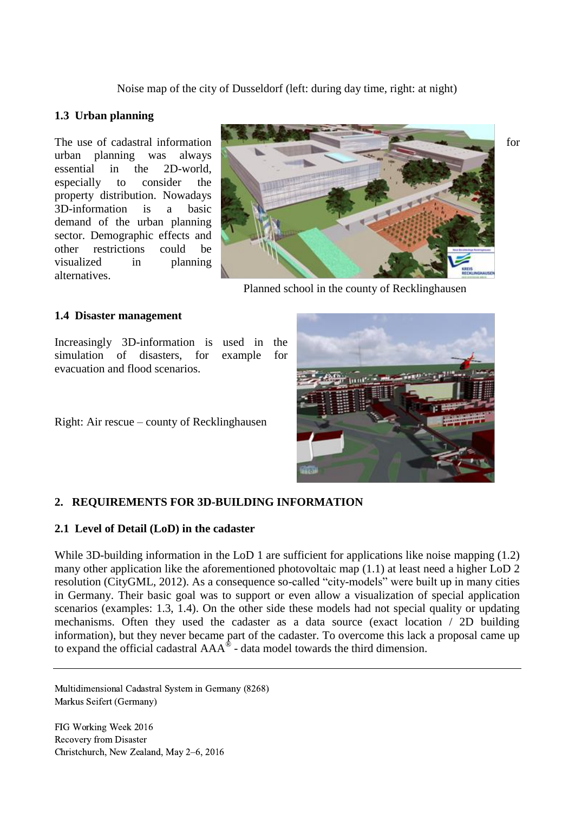Noise map of the city of Dusseldorf (left: during day time, right: at night)

#### **1.3 Urban planning**

urban planning was always essential in the 2D-world, especially to consider the property distribution. Nowadays 3D-information is a basic demand of the urban planning sector. Demographic effects and other restrictions could be visualized in planning alternatives.



Planned school in the county of Recklinghausen

#### **1.4 Disaster management**

Increasingly 3D-information is used in the simulation of disasters, for example for evacuation and flood scenarios.

Right: Air rescue – county of Recklinghausen

#### **2. REQUIREMENTS FOR 3D-BUILDING INFORMATION**

#### **2.1 Level of Detail (LoD) in the cadaster**

While 3D-building information in the LoD 1 are sufficient for applications like noise mapping (1.2) many other application like the aforementioned photovoltaic map (1.1) at least need a higher LoD 2 resolution (CityGML, 2012). As a consequence so-called "city-models" were built up in many cities in Germany. Their basic goal was to support or even allow a visualization of special application scenarios (examples: 1.3, 1.4). On the other side these models had not special quality or updating mechanisms. Often they used the cadaster as a data source (exact location / 2D building information), but they never became part of the cadaster. To overcome this lack a proposal came up to expand the official cadastral  $AAA^{\hat{\otimes}}$  - data model towards the third dimension.

Multidimensional Cadastral System in Germany (8268) Markus Seifert (Germany)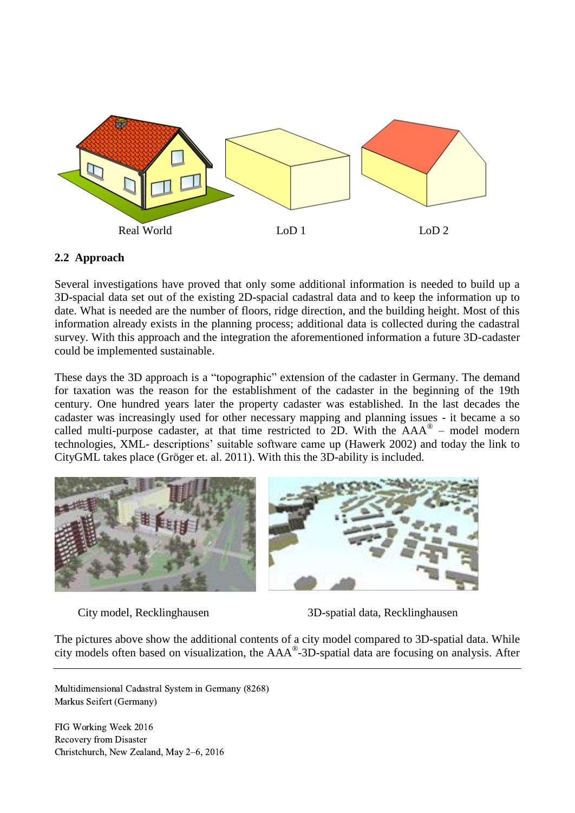

#### **2.2 Approach**

Several investigations have proved that only some additional information is needed to build up a 3D-spacial data set out of the existing 2D-spacial cadastral data and to keep the information up to date. What is needed are the number of floors, ridge direction, and the building height. Most of this information already exists in the planning process; additional data is collected during the cadastral survey. With this approach and the integration the aforementioned information a future 3D-cadaster could be implemented sustainable.

These days the 3D approach is a "topographic" extension of the cadaster in Germany. The demand for taxation was the reason for the establishment of the cadaster in the beginning of the 19th century. One hundred years later the property cadaster was established. In the last decades the cadaster was increasingly used for other necessary mapping and planning issues - it became a so called multi-purpose cadaster, at that time restricted to 2D. With the  $AAA^{\circledast}$  – model modern technologies, XML- descriptions' suitable software came up (Hawerk 2002) and today the link to CityGML takes place (Gröger et. al. 2011). With this the 3D-ability is included.



City model, Recklinghausen 3D-spatial data, Recklinghausen

The pictures above show the additional contents of a city model compared to 3D-spatial data. While city models often based on visualization, the AAA® -3D-spatial data are focusing on analysis. After

Multidimensional Cadastral System in Germany (8268) Markus Seifert (Germany)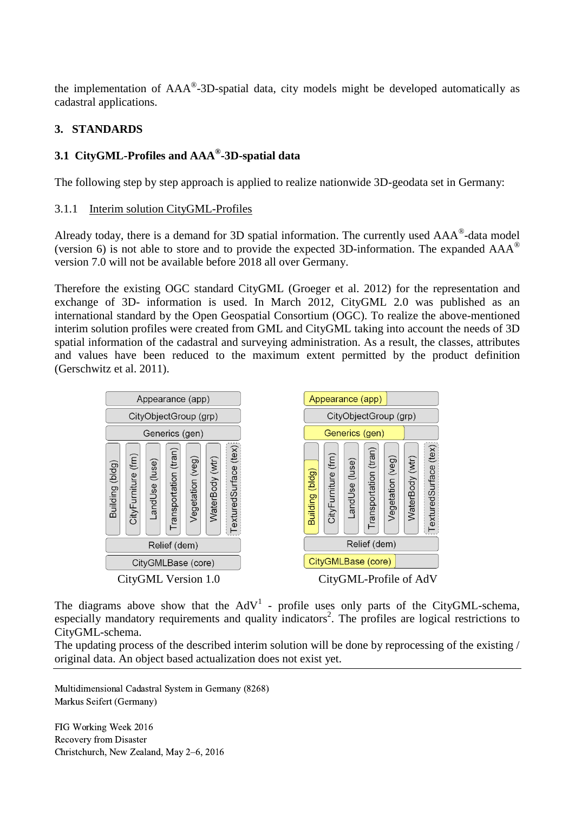the implementation of  $AAA^{\circledast}$ -3D-spatial data, city models might be developed automatically as cadastral applications.

## **3. STANDARDS**

## **3.1 CityGML-Profiles and AAA® -3D-spatial data**

The following step by step approach is applied to realize nationwide 3D-geodata set in Germany:

#### 3.1.1 Interim solution CityGML-Profiles

Already today, there is a demand for 3D spatial information. The currently used  $AAA^{\circ}$ -data model (version 6) is not able to store and to provide the expected 3D-information. The expanded  $AAA^{\circ}$ version 7.0 will not be available before 2018 all over Germany.

Therefore the existing OGC standard CityGML (Groeger et al. 2012) for the representation and exchange of 3D- information is used. In March 2012, CityGML 2.0 was published as an international standard by the Open Geospatial Consortium (OGC). To realize the above-mentioned interim solution profiles were created from GML and CityGML taking into account the needs of 3D spatial information of the cadastral and surveying administration. As a result, the classes, attributes and values have been reduced to the maximum extent permitted by the product definition (Gerschwitz et al. 2011).



The diagrams above show that the  $AdV<sup>1</sup>$  - profile uses only parts of the CityGML-schema, especially mandatory requirements and quality indicators<sup>2</sup>. The profiles are logical restrictions to CityGML-schema.

The updating process of the described interim solution will be done by reprocessing of the existing / original data. An object based actualization does not exist yet.

Multidimensional Cadastral System in Germany (8268) Markus Seifert (Germany)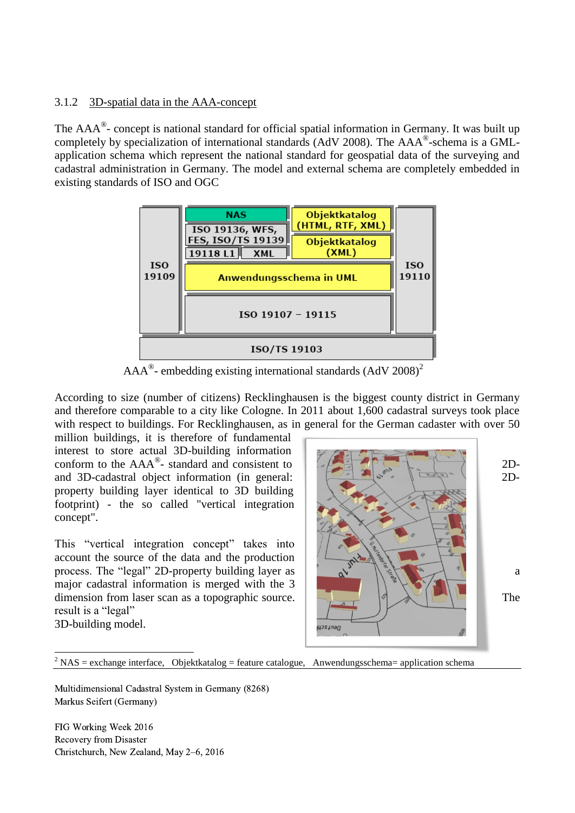#### 3.1.2 3D-spatial data in the AAA-concept

The AAA<sup>®</sup>- concept is national standard for official spatial information in Germany. It was built up completely by specialization of international standards (AdV 2008). The AAA®-schema is a GMLapplication schema which represent the national standard for geospatial data of the surveying and cadastral administration in Germany. The model and external schema are completely embedded in existing standards of ISO and OGC



 $AAA^{\circ}$ - embedding existing international standards (AdV 2008)<sup>2</sup>

According to size (number of citizens) Recklinghausen is the biggest county district in Germany and therefore comparable to a city like Cologne. In 2011 about 1,600 cadastral surveys took place with respect to buildings. For Recklinghausen, as in general for the German cadaster with over 50

million buildings, it is therefore of fundamental interest to store actual 3D-building information conform to the  $AAA^{\circ}$ - standard and consistent to  $\left\{\begin{array}{ccc} \begin{array}{ccc} \begin{array}{ccc} \end{array} & \begin{array}{ccc} \end{array} & \begin{array}{ccc} \end{array} & \begin{array}{ccc} \end{array} & \end{array} & \begin{array}{ccc} \end{array} & \begin{array}{ccc} \end{array} & \end{array} & \begin{array}{ccc} \end{array} & \begin{array} \end{array} & \end{array} & \end{array} \right\}$ and 3D-cadastral object information (in general:  $\|\cdot\|$   $\leq \|\cdot\|$   $\leq \$ property building layer identical to 3D building footprint) - the so called "vertical integration concept".

This "vertical integration concept" takes into account the source of the data and the production process. The "legal" 2D-property building layer as  $\left\{\begin{array}{c} \downarrow \\ \downarrow \downarrow \end{array}\right\}$  as a and  $\left\{\begin{array}{c} \downarrow \\ \downarrow \downarrow \end{array}\right\}$  and  $\left\{\begin{array}{c} \downarrow \\ \downarrow \downarrow \end{array}\right\}$  and  $\left\{\begin{array}{c} \downarrow \\ \downarrow \downarrow \end{array}\right\}$  and  $\left\{\begin{array}{c} \downarrow \\ \downarrow \downarrow \end{array$ major cadastral information is merged with the 3 dimension from laser scan as a topographic source. The result is a "legal" 3D-building model.



 $^{2}$  NAS = exchange interface, Objektkatalog = feature catalogue, Anwendungsschema= application schema

Multidimensional Cadastral System in Germany (8268) Markus Seifert (Germany)

FIG Working Week 2016 Recovery from Disaster Christchurch, New Zealand, May 2–6, 2016

1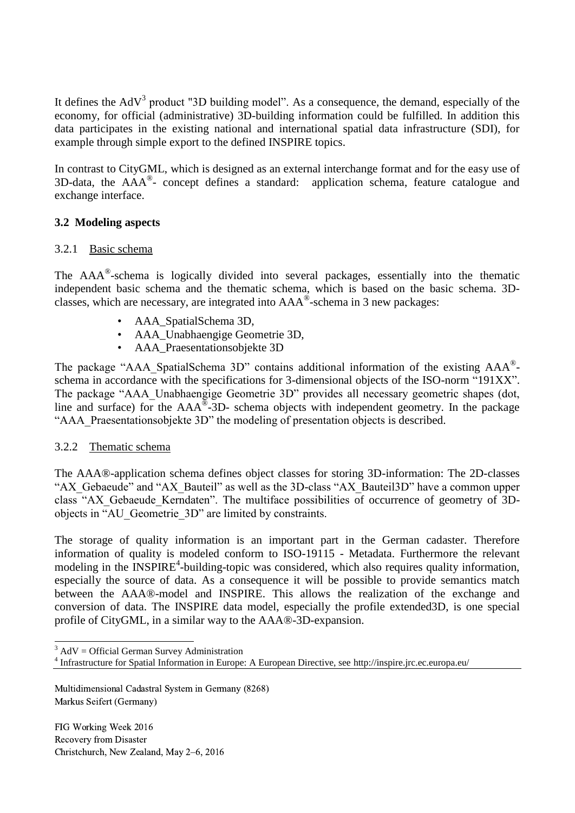It defines the  $AdV<sup>3</sup>$  product "3D building model". As a consequence, the demand, especially of the economy, for official (administrative) 3D-building information could be fulfilled. In addition this data participates in the existing national and international spatial data infrastructure (SDI), for example through simple export to the defined INSPIRE topics.

In contrast to CityGML, which is designed as an external interchange format and for the easy use of 3D-data, the AAA® - concept defines a standard: application schema, feature catalogue and exchange interface.

#### **3.2 Modeling aspects**

#### 3.2.1 Basic schema

The AAA®-schema is logically divided into several packages, essentially into the thematic independent basic schema and the thematic schema, which is based on the basic schema. 3Dclasses, which are necessary, are integrated into  $AAA^{\circ}$ -schema in 3 new packages:

- AAA\_SpatialSchema 3D,
- AAA\_Unabhaengige Geometrie 3D,
- AAA\_Praesentationsobjekte 3D

The package "AAA\_SpatialSchema 3D" contains additional information of the existing AAA®schema in accordance with the specifications for 3-dimensional objects of the ISO-norm "191XX". The package "AAA\_Unabhaengige Geometrie 3D" provides all necessary geometric shapes (dot, line and surface) for the  $AAA^{\circledR}$ -3D- schema objects with independent geometry. In the package "AAA Praesentationsobjekte 3D" the modeling of presentation objects is described.

#### 3.2.2 Thematic schema

The AAA®-application schema defines object classes for storing 3D-information: The 2D-classes "AX\_Gebaeude" and "AX\_Bauteil" as well as the 3D-class "AX\_Bauteil3D" have a common upper class "AX\_Gebaeude\_Kerndaten". The multiface possibilities of occurrence of geometry of 3Dobjects in "AU\_Geometrie\_3D" are limited by constraints.

The storage of quality information is an important part in the German cadaster. Therefore information of quality is modeled conform to ISO-19115 - Metadata. Furthermore the relevant modeling in the INSPIRE<sup>4</sup>-building-topic was considered, which also requires quality information, especially the source of data. As a consequence it will be possible to provide semantics match between the AAA®-model and INSPIRE. This allows the realization of the exchange and conversion of data. The INSPIRE data model, especially the profile extended3D, is one special profile of CityGML, in a similar way to the AAA®-3D-expansion.

- $3$  AdV = Official German Survey Administration

Multidimensional Cadastral System in Germany (8268) Markus Seifert (Germany)

<sup>4</sup> Infrastructure for Spatial Information in Europe: A European Directive, see http://inspire.jrc.ec.europa.eu/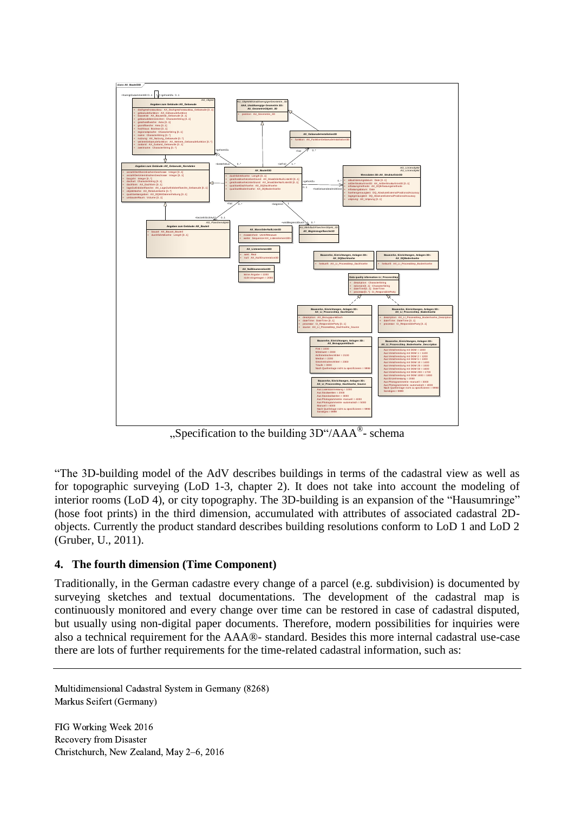

"Specification to the building  $3D''/AAA^{\circ}$ - schema

"The 3D-building model of the AdV describes buildings in terms of the cadastral view as well as for topographic surveying (LoD 1-3, chapter 2). It does not take into account the modeling of interior rooms (LoD 4), or city topography. The 3D-building is an expansion of the "Hausumringe" (hose foot prints) in the third dimension, accumulated with attributes of associated cadastral 2Dobjects. Currently the product standard describes building resolutions conform to LoD 1 and LoD 2 (Gruber, U., 2011).

## **4. The fourth dimension (Time Component)**

Traditionally, in the German cadastre every change of a parcel (e.g. subdivision) is documented by surveying sketches and textual documentations. The development of the cadastral map is continuously monitored and every change over time can be restored in case of cadastral disputed, but usually using non-digital paper documents. Therefore, modern possibilities for inquiries were also a technical requirement for the AAA®- standard. Besides this more internal cadastral use-case there are lots of further requirements for the time-related cadastral information, such as:

Multidimensional Cadastral System in Germany (8268) Markus Seifert (Germany)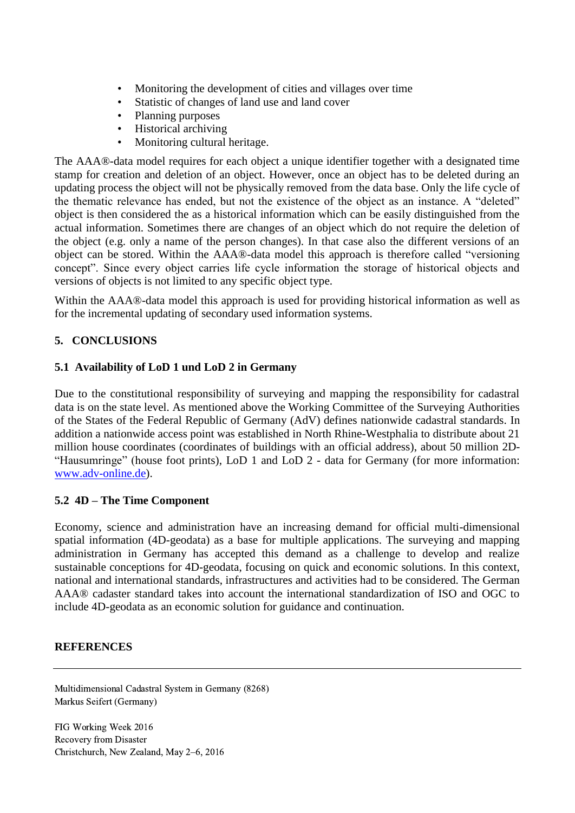- Monitoring the development of cities and villages over time<br>• Statistic of changes of land use and land cover
- Statistic of changes of land use and land cover
- Planning purposes
- Historical archiving
- Monitoring cultural heritage.

The AAA®-data model requires for each object a unique identifier together with a designated time stamp for creation and deletion of an object. However, once an object has to be deleted during an updating process the object will not be physically removed from the data base. Only the life cycle of the thematic relevance has ended, but not the existence of the object as an instance. A "deleted" object is then considered the as a historical information which can be easily distinguished from the actual information. Sometimes there are changes of an object which do not require the deletion of the object (e.g. only a name of the person changes). In that case also the different versions of an object can be stored. Within the AAA®-data model this approach is therefore called "versioning concept". Since every object carries life cycle information the storage of historical objects and versions of objects is not limited to any specific object type.

Within the AAA®-data model this approach is used for providing historical information as well as for the incremental updating of secondary used information systems.

## **5. CONCLUSIONS**

#### **5.1 Availability of LoD 1 und LoD 2 in Germany**

Due to the constitutional responsibility of surveying and mapping the responsibility for cadastral data is on the state level. As mentioned above the [Working](http://dict.leo.org/ende?lp=ende&p=DOKJAA&search=Working&trestr=0x8001) [Committee](http://dict.leo.org/ende?lp=ende&p=DOKJAA&search=Committee&trestr=0x8001) [of](http://dict.leo.org/ende?lp=ende&p=DOKJAA&search=of&trestr=0x8001) [the](http://dict.leo.org/ende?lp=ende&p=DOKJAA&search=the&trestr=0x8001) [Surveying](http://dict.leo.org/ende?lp=ende&p=DOKJAA&search=Surveying&trestr=0x8001) [Authorities](http://dict.leo.org/ende?lp=ende&p=DOKJAA&search=Authorities&trestr=0x8001) [of](http://dict.leo.org/ende?lp=ende&p=DOKJAA&search=of&trestr=0x8001) [the](http://dict.leo.org/ende?lp=ende&p=DOKJAA&search=the&trestr=0x8001) [States](http://dict.leo.org/ende?lp=ende&p=DOKJAA&search=States&trestr=0x8001) [of](http://dict.leo.org/ende?lp=ende&p=DOKJAA&search=of&trestr=0x8001) [the](http://dict.leo.org/ende?lp=ende&p=DOKJAA&search=the&trestr=0x8001) [Federal](http://dict.leo.org/ende?lp=ende&p=DOKJAA&search=Federal&trestr=0x8001) [Republic](http://dict.leo.org/ende?lp=ende&p=DOKJAA&search=Republic&trestr=0x8001) [of](http://dict.leo.org/ende?lp=ende&p=DOKJAA&search=of&trestr=0x8001) [Germany](http://dict.leo.org/ende?lp=ende&p=DOKJAA&search=Germany&trestr=0x8001) (AdV) defines nationwide cadastral standards. In addition a nationwide access point was established in North Rhine-Westphalia to distribute about 21 million house coordinates (coordinates of buildings with an official address), about 50 million 2D- "Hausumringe" (house foot prints), LoD 1 and LoD 2 - data for Germany (for more information: [www.adv-online.de\)](http://www.adv-online.de/).

#### **5.2 4D – The Time Component**

Economy, science and administration have an increasing demand for official multi-dimensional spatial information (4D-geodata) as a base for multiple applications. The surveying and mapping administration in Germany has accepted this demand as a challenge to develop and realize sustainable conceptions for 4D-geodata, focusing on quick and economic solutions. In this context, national and international standards, infrastructures and activities had to be considered. The German AAA® cadaster standard takes into account the international standardization of ISO and OGC to include 4D-geodata as an economic solution for guidance and continuation.

#### **REFERENCES**

Multidimensional Cadastral System in Germany (8268) Markus Seifert (Germany)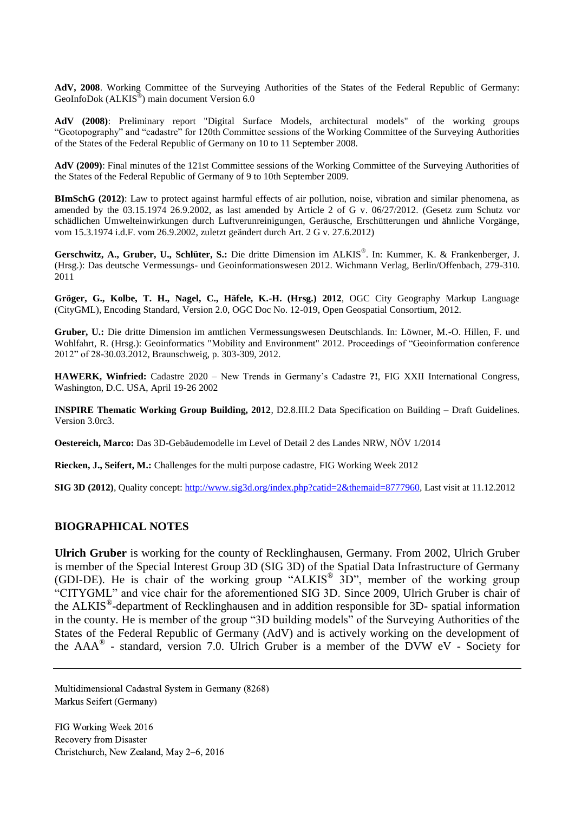**AdV, 2008**. Working Committee of the Surveying Authorities of the States of the Federal Republic of Germany: GeoInfoDok (ALKIS<sup>®</sup>) main document Version 6.0

**AdV (2008)**: Preliminary report "Digital Surface Models, architectural models" of the working groups "Geotopography" and "cadastre" for 120th Committee sessions of the Working Committee of the Surveying Authorities of the States of the Federal Republic of Germany on 10 to 11 September 2008.

**AdV (2009)**: Final minutes of the 121st Committee sessions of the Working Committee of the Surveying Authorities of the States of the Federal Republic of Germany of 9 to 10th September 2009.

**BImSchG (2012)**: Law to protect against harmful effects of air pollution, noise, vibration and similar phenomena, as amended by the 03.15.1974 26.9.2002, as last amended by Article 2 of G v. 06/27/2012. (Gesetz zum Schutz vor schädlichen Umwelteinwirkungen durch Luftverunreinigungen, Geräusche, Erschütterungen und ähnliche Vorgänge, vom 15.3.1974 i.d.F. vom 26.9.2002, zuletzt geändert durch Art. 2 G v. 27.6.2012)

**Gerschwitz, A., Gruber, U., Schlüter, S.:** Die dritte Dimension im ALKIS® . In: Kummer, K. & Frankenberger, J. (Hrsg.): Das deutsche Vermessungs- und Geoinformationswesen 2012. Wichmann Verlag, Berlin/Offenbach, 279-310. 2011

**Gröger, G., Kolbe, T. H., Nagel, C., Häfele, K.-H. (Hrsg.) 2012**, OGC City Geography Markup Language (CityGML), Encoding Standard, Version 2.0, OGC Doc No. 12-019, Open Geospatial Consortium, 2012.

**Gruber, U.:** Die dritte Dimension im amtlichen Vermessungswesen Deutschlands. In: Löwner, M.-O. Hillen, F. und Wohlfahrt, R. (Hrsg.): Geoinformatics "Mobility and Environment" 2012. Proceedings of "Geoinformation conference 2012" of 28-30.03.2012, Braunschweig, p. 303-309, 2012.

**HAWERK, Winfried:** Cadastre 2020 – New Trends in Germany's Cadastre **?!**, FIG XXII International Congress, Washington, D.C. USA, April 19-26 2002

**INSPIRE Thematic Working Group Building, 2012**, D2.8.III.2 Data Specification on Building – Draft Guidelines. Version 3.0rc3.

**Oestereich, Marco:** Das 3D-Gebäudemodelle im Level of Detail 2 des Landes NRW, NÖV 1/2014

**Riecken, J., Seifert, M.:** Challenges for the multi purpose cadastre, FIG Working Week 2012

**SIG 3D (2012)**, Quality concept[: http://www.sig3d.org/index.php?catid=2&themaid=8777960,](http://www.sig3d.org/index.php?catid=2&themaid=8777960) Last visit at 11.12.2012

#### **BIOGRAPHICAL NOTES**

**Ulrich Gruber** is working for the county of Recklinghausen, Germany. From 2002, Ulrich Gruber is member of the Special Interest Group 3D (SIG 3D) of the Spatial Data Infrastructure of Germany (GDI-DE). He is chair of the working group "ALKIS® 3D", member of the working group "CITYGML" and vice chair for the aforementioned SIG 3D. Since 2009, Ulrich Gruber is chair of the ALKIS® -department of Recklinghausen and in addition responsible for 3D- spatial information in the county. He is member of the group "3D building models" of the Surveying Authorities of the States of the Federal Republic of Germany (AdV) and is actively working on the development of the AAA® - standard, version 7.0. Ulrich Gruber is a member of the DVW eV - Society for

Multidimensional Cadastral System in Germany (8268) Markus Seifert (Germany)